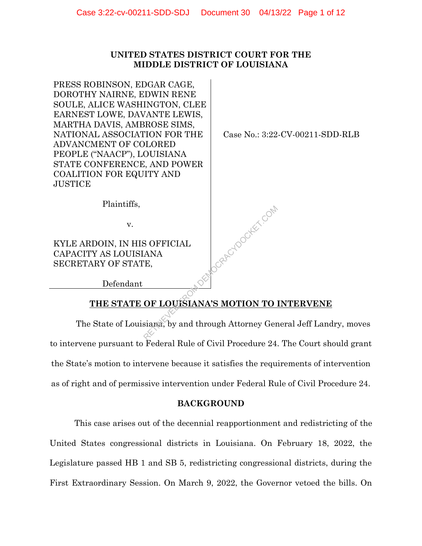### **UNITED STATES DISTRICT COURT FOR THE MIDDLE DISTRICT OF LOUISIANA**

PRESS ROBINSON, EDGAR CAGE, DOROTHY NAIRNE, EDWIN RENE SOULE, ALICE WASHINGTON, CLEE EARNEST LOWE, DAVANTE LEWIS, MARTHA DAVIS, AMBROSE SIMS, NATIONAL ASSOCIATION FOR THE ADVANCMENT OF COLORED PEOPLE ("NAACP"), LOUISIANA STATE CONFERENCE, AND POWER COALITION FOR EQUITY AND JUSTICE

Case No.: 3:22-CV-00211-SDD-RLB

Plaintiffs,

v.

KYLE ARDOIN, IN HIS OFFICIAL CAPACITY AS LOUISIANA SECRETARY OF STATE,

Defendant

# **THE STATE OF LOUISIANA'S MOTION TO INTERVENE**

Ocksteine Com

The State of Louisiana, by and through Attorney General Jeff Landry, moves to intervene pursuant to Federal Rule of Civil Procedure 24. The Court should grant the State's motion to intervene because it satisfies the requirements of intervention as of right and of permissive intervention under Federal Rule of Civil Procedure 24.

### **BACKGROUND**

This case arises out of the decennial reapportionment and redistricting of the United States congressional districts in Louisiana. On February 18, 2022, the Legislature passed HB 1 and SB 5, redistricting congressional districts, during the First Extraordinary Session. On March 9, 2022, the Governor vetoed the bills. On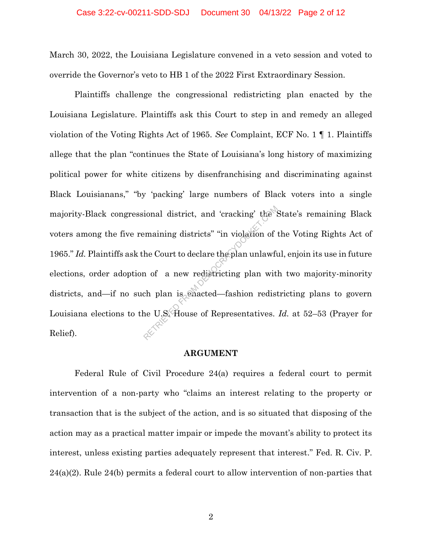March 30, 2022, the Louisiana Legislature convened in a veto session and voted to override the Governor's veto to HB 1 of the 2022 First Extraordinary Session.

Plaintiffs challenge the congressional redistricting plan enacted by the Louisiana Legislature. Plaintiffs ask this Court to step in and remedy an alleged violation of the Voting Rights Act of 1965. *See* Complaint, ECF No. 1 ¶ 1. Plaintiffs allege that the plan "continues the State of Louisiana's long history of maximizing political power for white citizens by disenfranchising and discriminating against Black Louisianans," "by 'packing' large numbers of Black voters into a single majority-Black congressional district, and 'cracking' the State's remaining Black voters among the five remaining districts" "in violation of the Voting Rights Act of 1965." *Id.* Plaintiffs ask the Court to declare the plan unlawful, enjoin its use in future elections, order adoption of a new redistricting plan with two majority-minority districts, and—if no such plan is enacted—fashion redistricting plans to govern Louisiana elections to the U.S. House of Representatives. *Id.* at 52–53 (Prayer for Relief). ional district, and 'cracking' the semaining districts' "in violation of<br>he Court to declare the plan unlawful<br>n of a new redistricting plan with<br>ch plan is enacted—fashion redist<br>ne U.S. House of Representatives.

#### **ARGUMENT**

Federal Rule of Civil Procedure 24(a) requires a federal court to permit intervention of a non-party who "claims an interest relating to the property or transaction that is the subject of the action, and is so situated that disposing of the action may as a practical matter impair or impede the movant's ability to protect its interest, unless existing parties adequately represent that interest." Fed. R. Civ. P. 24(a)(2). Rule 24(b) permits a federal court to allow intervention of non-parties that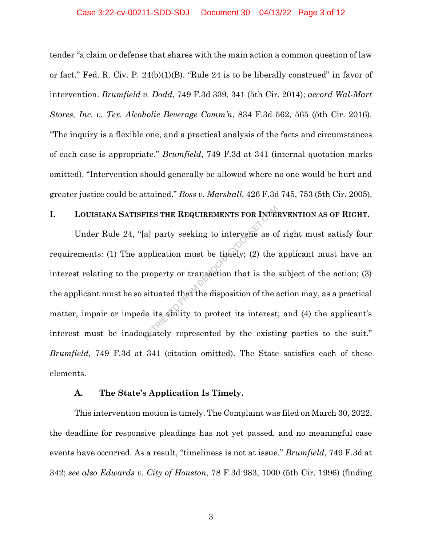tender "a claim or defense that shares with the main action a common question of law or fact." Fed. R. Civ. P.  $24(b)(1)(B)$ . "Rule 24 is to be liberally construed" in favor of intervention. *Brumfield v. Dodd*, 749 F.3d 339, 341 (5th Cir. 2014); *accord Wal-Mart Stores, Inc. v. Tex. Alcoholic Beverage Comm'n*, 834 F.3d 562, 565 (5th Cir. 2016). "The inquiry is a flexible one, and a practical analysis of the facts and circumstances of each case is appropriate." *Brumfield*, 749 F.3d at 341 (internal quotation marks omitted). "Intervention should generally be allowed where no one would be hurt and greater justice could be attained." *Ross v. Marshall*, 426 F.3d 745, 753 (5th Cir. 2005).

## **I. LOUISIANA SATISFIES THE REQUIREMENTS FOR INTERVENTION AS OF RIGHT.**

Under Rule 24, "[a] party seeking to intervene as of right must satisfy four requirements: (1) The application must be timely; (2) the applicant must have an interest relating to the property or transaction that is the subject of the action; (3) the applicant must be so situated that the disposition of the action may, as a practical matter, impair or impede its ability to protect its interest; and (4) the applicant's interest must be inadequately represented by the existing parties to the suit." *Brumfield*, 749 F.3d at 341 (citation omitted). The State satisfies each of these elements. FIES THE REQUIREMENTS FOR INTE.<br>
[a] party seeking to intervene as of<br>
pplication must be timely; (2) the<br>
property or transaction that is the<br>
situated that the disposition of the a<br>
de its ability to protect its interest

#### **A. The State's Application Is Timely.**

This intervention motion is timely. The Complaint was filed on March 30, 2022, the deadline for responsive pleadings has not yet passed, and no meaningful case events have occurred. As a result, "timeliness is not at issue." *Brumfield*, 749 F.3d at 342; *see also Edwards v. City of Houston*, 78 F.3d 983, 1000 (5th Cir. 1996) (finding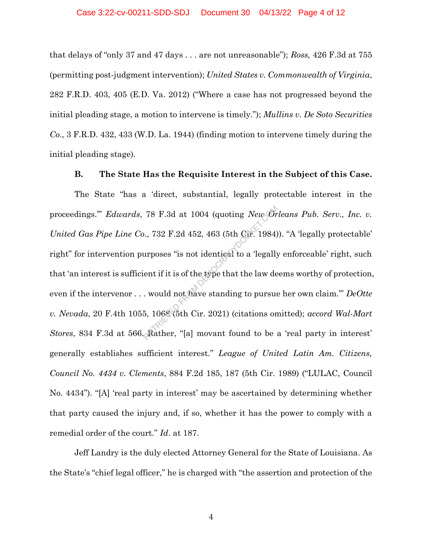that delays of "only 37 and 47 days . . . are not unreasonable"); *Ross,* 426 F.3d at 755 (permitting post-judgment intervention); *United States v. Commonwealth of Virginia*, 282 F.R.D. 403, 405 (E.D. Va. 2012) ("Where a case has not progressed beyond the initial pleading stage, a motion to intervene is timely."); *Mullins v. De Soto Securities Co*., 3 F.R.D. 432, 433 (W.D. La. 1944) (finding motion to intervene timely during the initial pleading stage).

### **B. The State Has the Requisite Interest in the Subject of this Case.**

The State "has a 'direct, substantial, legally protectable interest in the proceedings.'" *Edwards*, 78 F.3d at 1004 (quoting *New Orleans Pub. Serv., Inc. v. United Gas Pipe Line Co*., 732 F.2d 452, 463 (5th Cir. 1984)). "A 'legally protectable' right" for intervention purposes "is not identical to a 'legally enforceable' right, such that 'an interest is sufficient if it is of the type that the law deems worthy of protection, even if the intervenor . . . would not have standing to pursue her own claim.'" *DeOtte v. Nevada*, 20 F.4th 1055, 1068 (5th Cir. 2021) (citations omitted); *accord Wal-Mart Stores*, 834 F.3d at 566. Rather, "[a] movant found to be a 'real party in interest' generally establishes sufficient interest." *League of United Latin Am. Citizens, Council No. 4434 v. Clements*, 884 F.2d 185, 187 (5th Cir. 1989) ("LULAC, Council No. 4434"). "[A] 'real party in interest' may be ascertained by determining whether that party caused the injury and, if so, whether it has the power to comply with a remedial order of the court." *Id*. at 187. 78 F.3d at 1004 (quoting *New Or*<br>
.., 732 F.2d 452, 463 (5th Gir. 1984)<br>
urposes "is not identical to a 'legally<br>
ent if it is of the type that the law de<br>
. would not have standing to pursue<br>
5, 1068 (5th Cir. 2021) (ci

Jeff Landry is the duly elected Attorney General for the State of Louisiana. As the State's "chief legal officer," he is charged with "the assertion and protection of the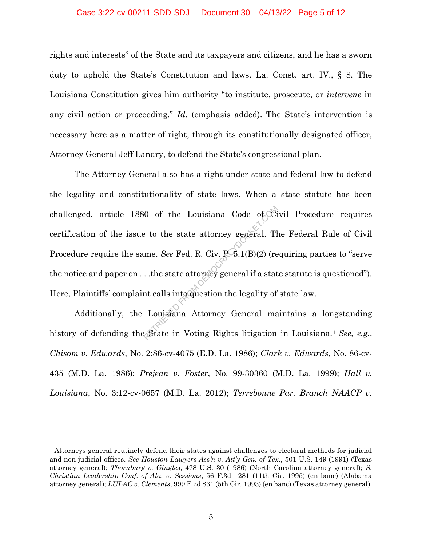#### Case 3:22-cv-00211-SDD-SDJ Document 30 04/13/22 Page 5 of 12

rights and interests" of the State and its taxpayers and citizens, and he has a sworn duty to uphold the State's Constitution and laws. La. Const. art. IV., § 8. The Louisiana Constitution gives him authority "to institute, prosecute, or *intervene* in any civil action or proceeding." *Id.* (emphasis added). The State's intervention is necessary here as a matter of right, through its constitutionally designated officer, Attorney General Jeff Landry, to defend the State's congressional plan.

The Attorney General also has a right under state and federal law to defend the legality and constitutionality of state laws. When a state statute has been challenged, article 1880 of the Louisiana Code of Civil Procedure requires certification of the issue to the state attorney general. The Federal Rule of Civil Procedure require the same. *See* Fed. R. Civ. P. 5.1(B)(2) (requiring parties to "serve the notice and paper on . . .the state attorney general if a state statute is questioned"). Here, Plaintiffs' complaint calls into question the legality of state law.  $80$  of the Louisiana Code of Cipsus of the state attorney general. Then  $See$  Fed. R. Civ.  $RS5.1(B)(2)$  (re ...the state attorney general if a state attorney general if a state attorney General mass of Louisiana Attorney Gen

Additionally, the Louisiana Attorney General maintains a longstanding history of defending the State in Voting Rights litigation in Louisiana.<sup>1</sup> See, e.g., *Chisom v. Edwards*, No. 2:86-cv-4075 (E.D. La. 1986); *Clark v. Edwards*, No. 86-cv-435 (M.D. La. 1986); *Prejean v. Foster*, No. 99-30360 (M.D. La. 1999); *Hall v. Louisiana*, No. 3:12-cv-0657 (M.D. La. 2012); *Terrebonne Par. Branch NAACP v.* 

 $\overline{a}$ 

<sup>&</sup>lt;sup>1</sup> Attorneys general routinely defend their states against challenges to electoral methods for judicial and non-judicial offices. *See Houston Lawyers Ass'n v. Att'y Gen. of Tex*., 501 U.S. 149 (1991) (Texas attorney general); *Thornburg v. Gingles*, 478 U.S. 30 (1986) (North Carolina attorney general); *S. Christian Leadership Conf. of Ala. v. Sessions*, 56 F.3d 1281 (11th Cir. 1995) (en banc) (Alabama attorney general); *LULAC v. Clements*, 999 F.2d 831 (5th Cir. 1993) (en banc) (Texas attorney general).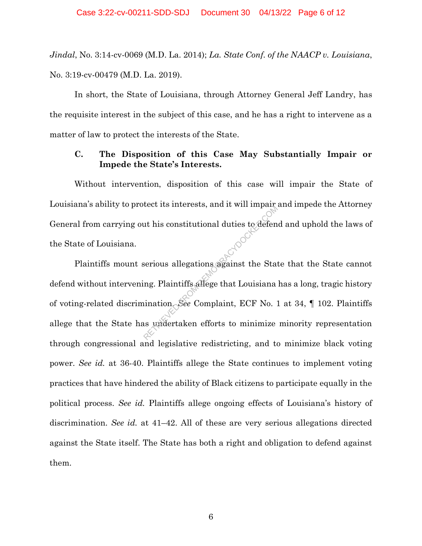*Jindal*, No. 3:14-cv-0069 (M.D. La. 2014); *La. State Conf. of the NAACP v. Louisiana*, No. 3:19-cv-00479 (M.D. La. 2019).

In short, the State of Louisiana, through Attorney General Jeff Landry, has the requisite interest in the subject of this case, and he has a right to intervene as a matter of law to protect the interests of the State.

### **C. The Disposition of this Case May Substantially Impair or Impede the State's Interests.**

Without intervention, disposition of this case will impair the State of Louisiana's ability to protect its interests, and it will impair and impede the Attorney General from carrying out his constitutional duties to defend and uphold the laws of the State of Louisiana.

Plaintiffs mount serious allegations against the State that the State cannot defend without intervening. Plaintiffs allege that Louisiana has a long, tragic history of voting-related discrimination. *See* Complaint, ECF No. 1 at 34, ¶ 102. Plaintiffs allege that the State has undertaken efforts to minimize minority representation through congressional and legislative redistricting, and to minimize black voting power. *See id.* at 36-40. Plaintiffs allege the State continues to implement voting practices that have hindered the ability of Black citizens to participate equally in the political process. *See id.* Plaintiffs allege ongoing effects of Louisiana's history of discrimination. *See id.* at 41–42. All of these are very serious allegations directed against the State itself. The State has both a right and obligation to defend against them. Retrieved From Democratic Properties in the State of the State of Sections and Textiles and Democration of Section 2013 and Democration of Section 2013 and Democratic Complaint, ECF No.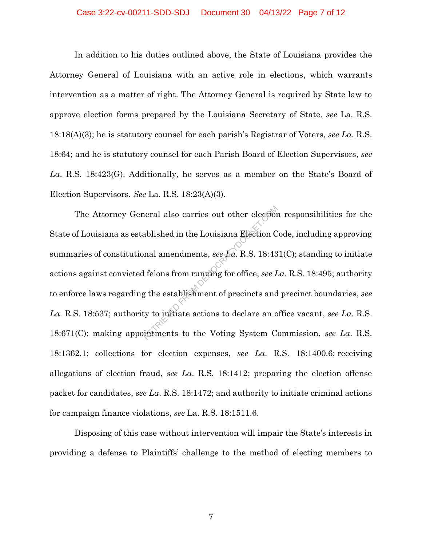#### Case 3:22-cv-00211-SDD-SDJ Document 30 04/13/22 Page 7 of 12

In addition to his duties outlined above, the State of Louisiana provides the Attorney General of Louisiana with an active role in elections, which warrants intervention as a matter of right. The Attorney General is required by State law to approve election forms prepared by the Louisiana Secretary of State, *see* La. R.S. 18:18(A)(3); he is statutory counsel for each parish's Registrar of Voters, *see La*. R.S. 18:64; and he is statutory counsel for each Parish Board of Election Supervisors, *see La*. R.S. 18:423(G). Additionally, he serves as a member on the State's Board of Election Supervisors. *See* La. R.S. 18:23(A)(3).

The Attorney General also carries out other election responsibilities for the State of Louisiana as established in the Louisiana Election Code, including approving summaries of constitutional amendments, *see La*. R.S. 18:431(C); standing to initiate actions against convicted felons from running for office, *see La*. R.S. 18:495; authority to enforce laws regarding the establishment of precincts and precinct boundaries, *see La*. R.S. 18:537; authority to initiate actions to declare an office vacant, *see La*. R.S. 18:671(C); making appointments to the Voting System Commission, *see La*. R.S. 18:1362.1; collections for election expenses, *see La*. R.S. 18:1400.6; receiving allegations of election fraud, *see La*. R.S. 18:1412; preparing the election offense packet for candidates, *see La*. R.S. 18:1472; and authority to initiate criminal actions for campaign finance violations, *see* La. R.S. 18:1511.6. neral also carries out other election<br>ablished in the Louisiana Election C<br>nal amendments, see La. R.S. 18:43<br>I felons from running for office, see L<br>g the establishment of precincts and<br>ty to initiate actions to declare a

Disposing of this case without intervention will impair the State's interests in providing a defense to Plaintiffs' challenge to the method of electing members to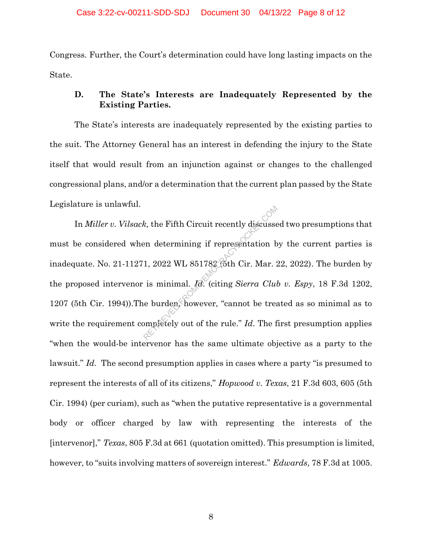Congress. Further, the Court's determination could have long lasting impacts on the State.

### **D. The State's Interests are Inadequately Represented by the Existing Parties.**

The State's interests are inadequately represented by the existing parties to the suit. The Attorney General has an interest in defending the injury to the State itself that would result from an injunction against or changes to the challenged congressional plans, and/or a determination that the current plan passed by the State Legislature is unlawful.

In *Miller v. Vilsack,* the Fifth Circuit recently discussed two presumptions that must be considered when determining if representation by the current parties is inadequate. No. 21-11271, 2022 WL 851782 (5th Cir. Mar. 22, 2022). The burden by the proposed intervenor is minimal. *Id*. (citing *Sierra Club v. Espy*, 18 F.3d 1202, 1207 (5th Cir. 1994)).The burden, however, "cannot be treated as so minimal as to write the requirement completely out of the rule." *Id*. The first presumption applies "when the would-be intervenor has the same ultimate objective as a party to the lawsuit." *Id.* The second presumption applies in cases where a party "is presumed to represent the interests of all of its citizens," *Hopwood v. Texas*, 21 F.3d 603, 605 (5th Cir. 1994) (per curiam), such as "when the putative representative is a governmental body or officer charged by law with representing the interests of the [intervenor]," *Texas*, 805 F.3d at 661 (quotation omitted). This presumption is limited, however, to "suits involving matters of sovereign interest." *Edwards*, 78 F.3d at 1005. k, the Fifth Circuit recently discusse<br>en determining if representation b<br>1, 2022 WL 851782 (5th Cir. Mar. 2<br>is minimal.  $\sqrt{a}$ . (citing *Sierra Clul*<br>e burden, however, "cannot be trea<br>pmpletely out of the rule." *Id*.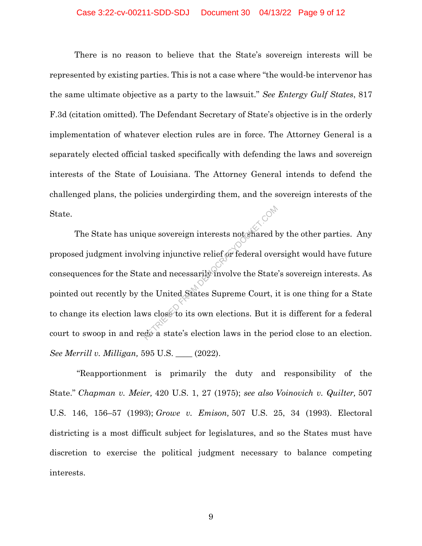#### Case 3:22-cv-00211-SDD-SDJ Document 30 04/13/22 Page 9 of 12

There is no reason to believe that the State's sovereign interests will be represented by existing parties. This is not a case where "the would-be intervenor has the same ultimate objective as a party to the lawsuit." *See Entergy Gulf States*, 817 F.3d (citation omitted). The Defendant Secretary of State's objective is in the orderly implementation of whatever election rules are in force. The Attorney General is a separately elected official tasked specifically with defending the laws and sovereign interests of the State of Louisiana. The Attorney General intends to defend the challenged plans, the policies undergirding them, and the sovereign interests of the State.

The State has unique sovereign interests not shared by the other parties. Any proposed judgment involving injunctive relief or federal oversight would have future consequences for the State and necessarily involve the State's sovereign interests. As pointed out recently by the United States Supreme Court, it is one thing for a State to change its election laws close to its own elections. But it is different for a federal court to swoop in and redo a state's election laws in the period close to an election. *See Merrill v. Milligan,* 595 U.S. \_\_\_\_ (2022). que sovereign interests not shared k<br>ving injunctive relief or federal over<br>te and necessarily involve the State<br>he United States Supreme Court, i<br>ws close to its own elections. But it<br>do a state's election laws in the pe

"Reapportionment is primarily the duty and responsibility of the State." *Chapman v. Meier,* 420 U.S. 1, 27 (1975); *see also Voinovich v. Quilter,* 507 U.S. 146, 156–57 (1993); *Growe v. Emison,* 507 U.S. 25, 34 (1993). Electoral districting is a most difficult subject for legislatures, and so the States must have discretion to exercise the political judgment necessary to balance competing interests.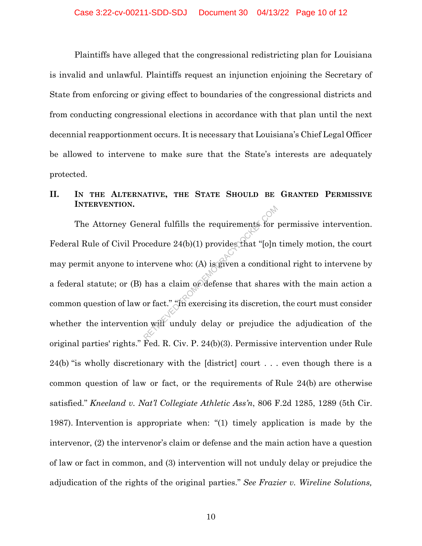Plaintiffs have alleged that the congressional redistricting plan for Louisiana is invalid and unlawful. Plaintiffs request an injunction enjoining the Secretary of State from enforcing or giving effect to boundaries of the congressional districts and from conducting congressional elections in accordance with that plan until the next decennial reapportionment occurs. It is necessary that Louisiana's Chief Legal Officer be allowed to intervene to make sure that the State's interests are adequately protected.

### **II. IN THE ALTERNATIVE, THE STATE SHOULD BE GRANTED PERMISSIVE INTERVENTION.**

The Attorney General fulfills the requirements for permissive intervention. Federal Rule of Civil Procedure 24(b)(1) provides that "[o]n timely motion, the court may permit anyone to intervene who: (A) is given a conditional right to intervene by a federal statute; or (B) has a claim or defense that shares with the main action a common question of law or fact." "In exercising its discretion, the court must consider whether the intervention will unduly delay or prejudice the adjudication of the original parties' rights." Fed. R. Civ. P. 24(b)(3). Permissive intervention under Rule 24(b) "is wholly discretionary with the [district] court . . . even though there is a common question of law or fact, or the requirements of Rule 24(b) are otherwise satisfied." *Kneeland v. Nat'l Collegiate Athletic Ass'n*, 806 F.2d 1285, 1289 (5th Cir. 1987). Intervention is appropriate when: "(1) timely application is made by the intervenor, (2) the intervenor's claim or defense and the main action have a question of law or fact in common, and (3) intervention will not unduly delay or prejudice the adjudication of the rights of the original parties." *See Frazier v. Wireline Solutions,* Frameral fulfills the requirements for<br>pocedure  $24(b)(1)$  provides that "[o]n<br>tervene who: (A) is given a conditio<br>has a claim or defense that shares<br>or fact." "In exercising its discretion<br>n will unduly delay or prejudice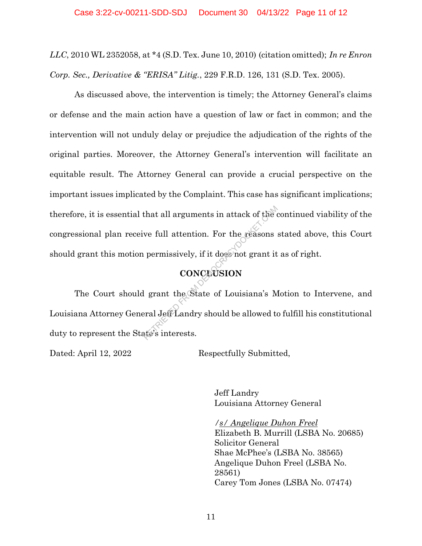*LLC*, 2010 WL 2352058, at \*4 (S.D. Tex. June 10, 2010) (citation omitted); *In re Enron Corp. Sec., Derivative & "ERISA" Litig.*, 229 F.R.D. 126, 131 (S.D. Tex. 2005).

As discussed above, the intervention is timely; the Attorney General's claims or defense and the main action have a question of law or fact in common; and the intervention will not unduly delay or prejudice the adjudication of the rights of the original parties. Moreover, the Attorney General's intervention will facilitate an equitable result. The Attorney General can provide a crucial perspective on the important issues implicated by the Complaint. This case has significant implications; therefore, it is essential that all arguments in attack of the continued viability of the congressional plan receive full attention. For the reasons stated above, this Court should grant this motion permissively, if it does not grant it as of right. that all arguments in attack of the converted to the reasons<br>ve full attention. For the reasons<br>permissively, if it does not grant it<br>**CONCLUSION**<br>l grant the State of Louisiana's M<br>eral Jeff Landry should be allowed to

# **CONCLUSION**

The Court should grant the State of Louisiana's Motion to Intervene, and Louisiana Attorney General Jeff Landry should be allowed to fulfill his constitutional duty to represent the State's interests.

Dated: April 12, 2022 Respectfully Submitted,

Jeff Landry Louisiana Attorney General

*/s/ Angelique Duhon Freel*  Elizabeth B. Murrill (LSBA No. 20685) Solicitor General Shae McPhee's (LSBA No. 38565) Angelique Duhon Freel (LSBA No. 28561) Carey Tom Jones (LSBA No. 07474)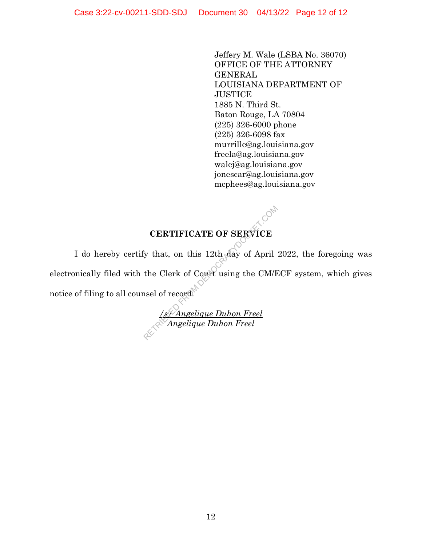Jeffery M. Wale (LSBA No. 36070) OFFICE OF THE ATTORNEY GENERAL LOUISIANA DEPARTMENT OF **JUSTICE** 1885 N. Third St. Baton Rouge, LA 70804 (225) 326-6000 phone (225) 326-6098 fax murrille@ag.louisiana.gov freela@ag.louisiana.gov walej@ag.louisiana.gov jonescar@ag.louisiana.gov mcphees@ag.louisiana.gov

# **CERTIFICATE OF SERVICE**

I do hereby certify that, on this 12th day of April 2022, the foregoing was electronically filed with the Clerk of Court using the CM/ECF system, which gives notice of filing to all counsel of  $\operatorname{record}^{\mathbb{N}}$ CERTIFICATE OF SERVICE<br>
The Clerk of Court using the CM/E<br>
See of record.<br>
See Angelique Duhon Freel<br>
See Angelique Duhon Freel

*/s/ Angelique Duhon Freel Angelique Duhon Freel*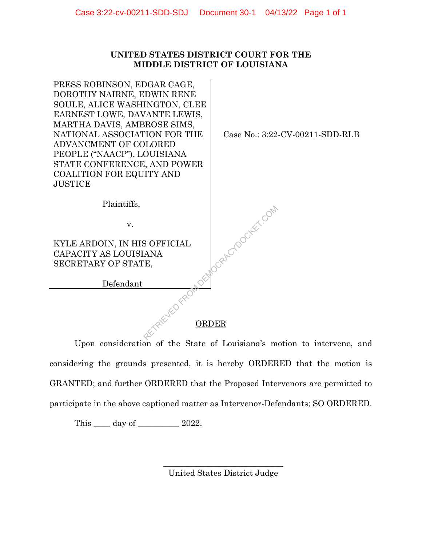### **UNITED STATES DISTRICT COURT FOR THE MIDDLE DISTRICT OF LOUISIANA**

PRESS ROBINSON, EDGAR CAGE, DOROTHY NAIRNE, EDWIN RENE SOULE, ALICE WASHINGTON, CLEE EARNEST LOWE, DAVANTE LEWIS, MARTHA DAVIS, AMBROSE SIMS, NATIONAL ASSOCIATION FOR THE ADVANCMENT OF COLORED PEOPLE ("NAACP"), LOUISIANA STATE CONFERENCE, AND POWER COALITION FOR EQUITY AND **JUSTICE** 

Case No.: 3:22-CV-00211-SDD-RLB

Plaintiffs,

v.

KYLE ARDOIN, IN HIS OFFICIAL CAPACITY AS LOUISIANA SECRETARY OF STATE,

Defendant

### ORDER

OckercyDocker.com

Upon consideration of the State of Louisiana's motion to intervene, and considering the grounds presented, it is hereby ORDERED that the motion is GRANTED; and further ORDERED that the Proposed Intervenors are permitted to participate in the above captioned matter as Intervenor-Defendants; SO ORDERED.

This <u>equal</u> day of 2022.

\_\_\_\_\_\_\_\_\_\_\_\_\_\_\_\_\_\_\_\_\_\_\_\_\_\_\_\_\_ United States District Judge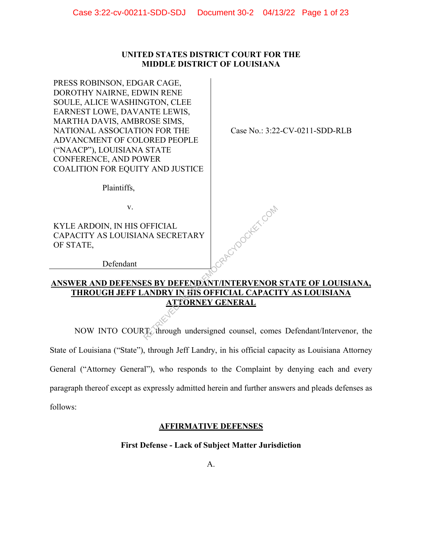### **UNITED STATES DISTRICT COURT FOR THE MIDDLE DISTRICT OF LOUISIANA**

PRESS ROBINSON, EDGAR CAGE, DOROTHY NAIRNE, EDWIN RENE SOULE, ALICE WASHINGTON, CLEE EARNEST LOWE, DAVANTE LEWIS, MARTHA DAVIS, AMBROSE SIMS, NATIONAL ASSOCIATION FOR THE ADVANCMENT OF COLORED PEOPLE ("NAACP"), LOUISIANA STATE CONFERENCE, AND POWER COALITION FOR EQUITY AND JUSTICE

Case No.: 3:22-CV-0211-SDD-RLB

Plaintiffs,

v.

KYLE ARDOIN, IN HIS OFFICIAL CAPACITY AS LOUISIANA SECRETARY OF STATE,

Defendant

### **ANSWER AND DEFENSES BY DEFENDANT/INTERVENOR STATE OF LOUISIANA, THROUGH JEFF LANDRY IN HIS OFFICIAL CAPACITY AS LOUISIANA ATTORNEY GENERAL**

LGRACYDOCKET.COM

NOW INTO COURT, through undersigned counsel, comes Defendant/Intervenor, the State of Louisiana ("State"), through Jeff Landry, in his official capacity as Louisiana Attorney General ("Attorney General"), who responds to the Complaint by denying each and every paragraph thereof except as expressly admitted herein and further answers and pleads defenses as follows:

### **AFFIRMATIVE DEFENSES**

### **First Defense - Lack of Subject Matter Jurisdiction**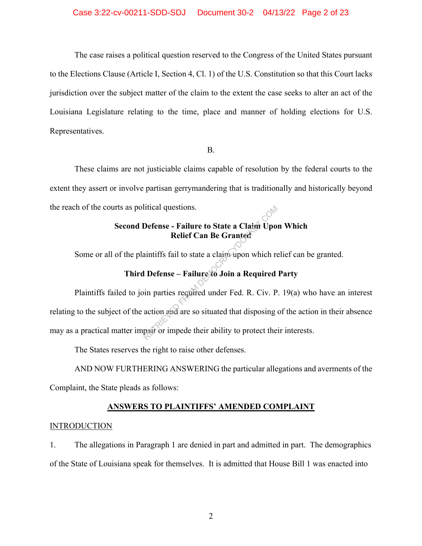#### Case 3:22-cv-00211-SDD-SDJ Document 30-2 04/13/22 Page 2 of 23

The case raises a political question reserved to the Congress of the United States pursuant to the Elections Clause (Article I, Section 4, Cl. 1) of the U.S. Constitution so that this Court lacks jurisdiction over the subject matter of the claim to the extent the case seeks to alter an act of the Louisiana Legislature relating to the time, place and manner of holding elections for U.S. Representatives.

#### B.

These claims are not justiciable claims capable of resolution by the federal courts to the extent they assert or involve partisan gerrymandering that is traditionally and historically beyond the reach of the courts as political questions.

### **Second Defense - Failure to State a Claim Upon Which Relief Can Be Granted**

Some or all of the plaintiffs fail to state a claim upon which relief can be granted.

### **Third Defense – Failure to Join a Required Party**

Plaintiffs failed to join parties required under Fed. R. Civ. P. 19(a) who have an interest relating to the subject of the action and are so situated that disposing of the action in their absence may as a practical matter impair or impede their ability to protect their interests. Initial questions.<br>
Defense - Failure to State a Claim Upo.<br>
Relief Can Be Granted<br>
aintiffs fail to state a claim upon which relies<br>
1 Defense – Failure to Join a Required<br>
in parties required under Fed. R. Civ. P<br>
action

The States reserves the right to raise other defenses.

AND NOW FURTHERING ANSWERING the particular allegations and averments of the Complaint, the State pleads as follows:

# **ANSWERS TO PLAINTIFFS' AMENDED COMPLAINT**

#### INTRODUCTION

1. The allegations in Paragraph 1 are denied in part and admitted in part. The demographics of the State of Louisiana speak for themselves. It is admitted that House Bill 1 was enacted into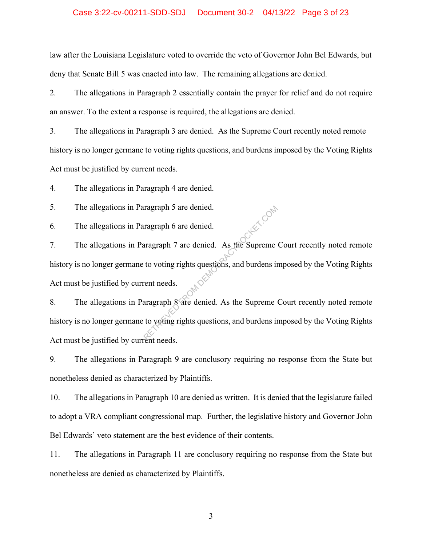#### Case 3:22-cv-00211-SDD-SDJ Document 30-2 04/13/22 Page 3 of 23

law after the Louisiana Legislature voted to override the veto of Governor John Bel Edwards, but deny that Senate Bill 5 was enacted into law. The remaining allegations are denied.

2. The allegations in Paragraph 2 essentially contain the prayer for relief and do not require an answer. To the extent a response is required, the allegations are denied.

3. The allegations in Paragraph 3 are denied. As the Supreme Court recently noted remote history is no longer germane to voting rights questions, and burdens imposed by the Voting Rights Act must be justified by current needs.

4. The allegations in Paragraph 4 are denied.

5. The allegations in Paragraph 5 are denied.

6. The allegations in Paragraph 6 are denied.

7. The allegations in Paragraph 7 are denied. As the Supreme Court recently noted remote history is no longer germane to voting rights questions, and burdens imposed by the Voting Rights Act must be justified by current needs. ragraph 5 are denied.<br>
aragraph 7 are denied. As the Supreme<br>
to voting rights questions, and burdens in<br>
rent needs.<br>
aragraph 8 are denied. As the Supreme<br>
to voting rights questions, and burdens in<br>
the reads

8. The allegations in Paragraph 8 are denied. As the Supreme Court recently noted remote history is no longer germane to voting rights questions, and burdens imposed by the Voting Rights Act must be justified by current needs.

9. The allegations in Paragraph 9 are conclusory requiring no response from the State but nonetheless denied as characterized by Plaintiffs.

10. The allegations in Paragraph 10 are denied as written. It is denied that the legislature failed to adopt a VRA compliant congressional map. Further, the legislative history and Governor John Bel Edwards' veto statement are the best evidence of their contents.

11. The allegations in Paragraph 11 are conclusory requiring no response from the State but nonetheless are denied as characterized by Plaintiffs.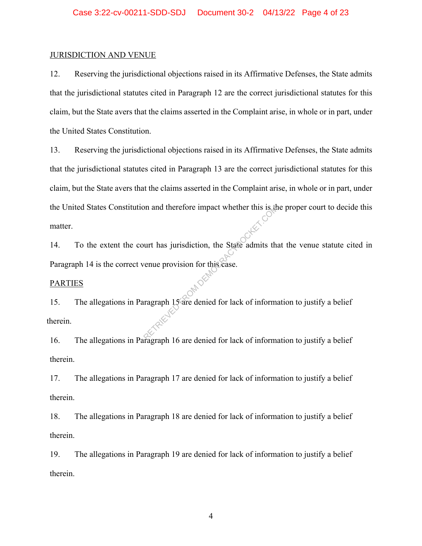#### JURISDICTION AND VENUE

12. Reserving the jurisdictional objections raised in its Affirmative Defenses, the State admits that the jurisdictional statutes cited in Paragraph 12 are the correct jurisdictional statutes for this claim, but the State avers that the claims asserted in the Complaint arise, in whole or in part, under the United States Constitution.

13. Reserving the jurisdictional objections raised in its Affirmative Defenses, the State admits that the jurisdictional statutes cited in Paragraph 13 are the correct jurisdictional statutes for this claim, but the State avers that the claims asserted in the Complaint arise, in whole or in part, under the United States Constitution and therefore impact whether this is the proper court to decide this matter.

14. To the extent the court has jurisdiction, the State admits that the venue statute cited in Paragraph 14 is the correct venue provision for this case.

#### PARTIES

15. The allegations in Paragraph 15 are denied for lack of information to justify a belief therein. on and therefore impact whether this is the<br>urt has jurisdiction, the State admits the<br>venue provision for this case.<br>ragraph 15 are denied for lack of information

16. The allegations in Paragraph 16 are denied for lack of information to justify a belief therein.

17. The allegations in Paragraph 17 are denied for lack of information to justify a belief therein.

18. The allegations in Paragraph 18 are denied for lack of information to justify a belief therein.

19. The allegations in Paragraph 19 are denied for lack of information to justify a belief therein.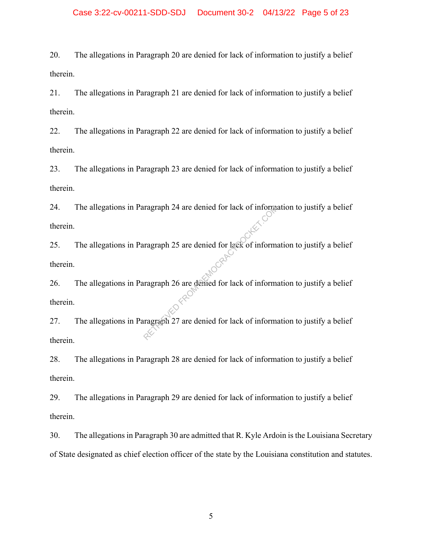#### Case 3:22-cv-00211-SDD-SDJ Document 30-2 04/13/22 Page 5 of 23

20. The allegations in Paragraph 20 are denied for lack of information to justify a belief therein.

21. The allegations in Paragraph 21 are denied for lack of information to justify a belief therein.

22. The allegations in Paragraph 22 are denied for lack of information to justify a belief therein.

23. The allegations in Paragraph 23 are denied for lack of information to justify a belief therein.

24. The allegations in Paragraph 24 are denied for lack of information to justify a belief therein.

25. The allegations in Paragraph 25 are denied for lack of information to justify a belief therein. ragraph 25 are denied for lack of information<br>are denied for lack of information<br>are denied for lack of information<br>are denied for lack of information<br>are denied for lack of information

26. The allegations in Paragraph 26 are denied for lack of information to justify a belief therein.

27. The allegations in Paragraph 27 are denied for lack of information to justify a belief therein.

28. The allegations in Paragraph 28 are denied for lack of information to justify a belief therein.

29. The allegations in Paragraph 29 are denied for lack of information to justify a belief therein.

30. The allegations in Paragraph 30 are admitted that R. Kyle Ardoin is the Louisiana Secretary of State designated as chief election officer of the state by the Louisiana constitution and statutes.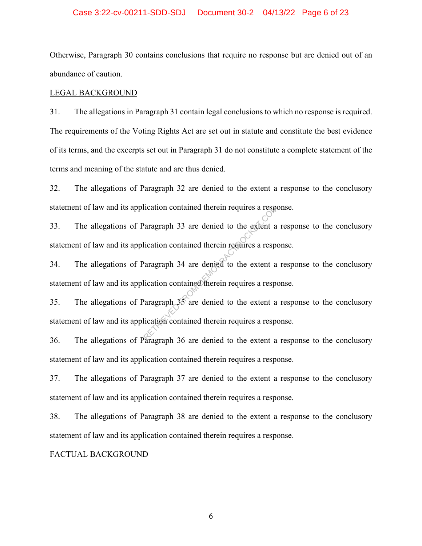#### Case 3:22-cv-00211-SDD-SDJ Document 30-2 04/13/22 Page 6 of 23

Otherwise, Paragraph 30 contains conclusions that require no response but are denied out of an abundance of caution.

#### LEGAL BACKGROUND

31. The allegations in Paragraph 31 contain legal conclusions to which no response is required. The requirements of the Voting Rights Act are set out in statute and constitute the best evidence of its terms, and the excerpts set out in Paragraph 31 do not constitute a complete statement of the terms and meaning of the statute and are thus denied.

32. The allegations of Paragraph 32 are denied to the extent a response to the conclusory statement of law and its application contained therein requires a response.

33. The allegations of Paragraph 33 are denied to the extent a response to the conclusory statement of law and its application contained therein requires a response.

34. The allegations of Paragraph 34 are denied to the extent a response to the conclusory statement of law and its application contained therein requires a response. Paragraph 33 are denied to the extent a<br>lication contained therein requires a responsant<br>alication contained therein requires a responsant a<br>lication contained therein requires a responsant a<br>lication contained therein req

35. The allegations of Paragraph 35 are denied to the extent a response to the conclusory statement of law and its application contained therein requires a response.

36. The allegations of Paragraph 36 are denied to the extent a response to the conclusory statement of law and its application contained therein requires a response.

37. The allegations of Paragraph 37 are denied to the extent a response to the conclusory statement of law and its application contained therein requires a response.

38. The allegations of Paragraph 38 are denied to the extent a response to the conclusory statement of law and its application contained therein requires a response.

#### FACTUAL BACKGROUND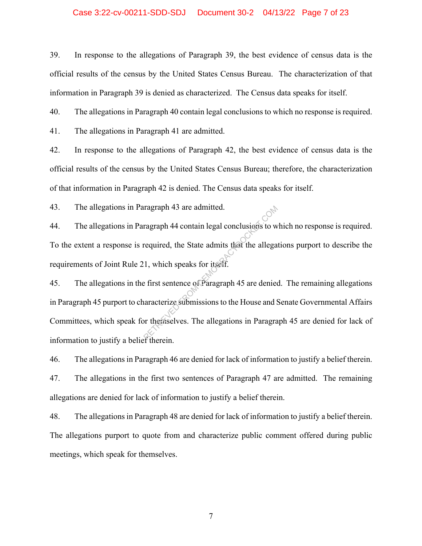#### Case 3:22-cv-00211-SDD-SDJ Document 30-2 04/13/22 Page 7 of 23

39. In response to the allegations of Paragraph 39, the best evidence of census data is the official results of the census by the United States Census Bureau. The characterization of that information in Paragraph 39 is denied as characterized. The Census data speaks for itself.

40. The allegations in Paragraph 40 contain legal conclusions to which no response is required.

41. The allegations in Paragraph 41 are admitted.

42. In response to the allegations of Paragraph 42, the best evidence of census data is the official results of the census by the United States Census Bureau; therefore, the characterization of that information in Paragraph 42 is denied. The Census data speaks for itself.

43. The allegations in Paragraph 43 are admitted.

44. The allegations in Paragraph 44 contain legal conclusions to which no response is required. To the extent a response is required, the State admits that the allegations purport to describe the requirements of Joint Rule 21, which speaks for itself.

45. The allegations in the first sentence of Paragraph 45 are denied. The remaining allegations in Paragraph 45 purport to characterize submissions to the House and Senate Governmental Affairs Committees, which speak for themselves. The allegations in Paragraph 45 are denied for lack of information to justify a belief therein. Tragraph 43 are admitted.<br>
Tragraph 44 contain legal conclusions to w<br>
Tragraph 44 contain legal conclusions to w<br>
Tragraph 45 are denied<br>
It which speaks for itself.<br>
The first sentence of Paragraph 45 are denied<br>
Tragrap

46. The allegations in Paragraph 46 are denied for lack of information to justify a belief therein. 47. The allegations in the first two sentences of Paragraph 47 are admitted. The remaining allegations are denied for lack of information to justify a belief therein.

48. The allegations in Paragraph 48 are denied for lack of information to justify a belief therein. The allegations purport to quote from and characterize public comment offered during public meetings, which speak for themselves.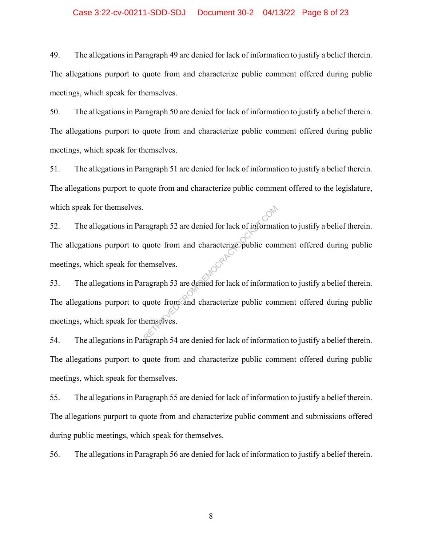#### Case 3:22-cv-00211-SDD-SDJ Document 30-2 04/13/22 Page 8 of 23

49. The allegations in Paragraph 49 are denied for lack of information to justify a belief therein. The allegations purport to quote from and characterize public comment offered during public meetings, which speak for themselves.

50. The allegations in Paragraph 50 are denied for lack of information to justify a belief therein. The allegations purport to quote from and characterize public comment offered during public meetings, which speak for themselves.

51. The allegations in Paragraph 51 are denied for lack of information to justify a belief therein. The allegations purport to quote from and characterize public comment offered to the legislature, which speak for themselves.

52. The allegations in Paragraph 52 are denied for lack of information to justify a belief therein. The allegations purport to quote from and characterize public comment offered during public meetings, which speak for themselves. ragraph 52 are denied for lack of informat<br>quote from and characterize public com<br>ragraph 53 are denied for lack of informat<br>quote from and characterize public com<br>emselves.

53. The allegations in Paragraph 53 are denied for lack of information to justify a belief therein. The allegations purport to quote from and characterize public comment offered during public meetings, which speak for themselves.

54. The allegations in Paragraph 54 are denied for lack of information to justify a belief therein. The allegations purport to quote from and characterize public comment offered during public meetings, which speak for themselves.

55. The allegations in Paragraph 55 are denied for lack of information to justify a belief therein. The allegations purport to quote from and characterize public comment and submissions offered during public meetings, which speak for themselves.

56. The allegations in Paragraph 56 are denied for lack of information to justify a belief therein.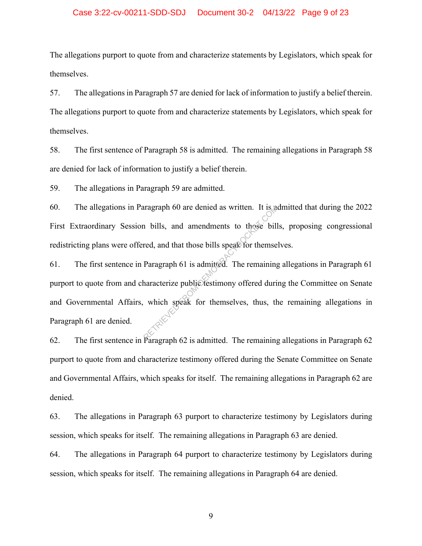#### Case 3:22-cv-00211-SDD-SDJ Document 30-2 04/13/22 Page 9 of 23

The allegations purport to quote from and characterize statements by Legislators, which speak for themselves.

57. The allegations in Paragraph 57 are denied for lack of information to justify a belief therein. The allegations purport to quote from and characterize statements by Legislators, which speak for themselves.

58. The first sentence of Paragraph 58 is admitted. The remaining allegations in Paragraph 58 are denied for lack of information to justify a belief therein.

59. The allegations in Paragraph 59 are admitted.

60. The allegations in Paragraph 60 are denied as written. It is admitted that during the 2022 First Extraordinary Session bills, and amendments to those bills, proposing congressional redistricting plans were offered, and that those bills speak for themselves.

61. The first sentence in Paragraph 61 is admitted. The remaining allegations in Paragraph 61 purport to quote from and characterize public testimony offered during the Committee on Senate and Governmental Affairs, which speak for themselves, thus, the remaining allegations in Paragraph 61 are denied. red, and that those bills speak for themse<br>Paragraph 61 is admitted. The remaining<br>Paragraph 61 is admitted. The remaining<br>haracterize public testimony offered duri<br>which speak for themselves, thus, the

62. The first sentence in Paragraph 62 is admitted. The remaining allegations in Paragraph 62 purport to quote from and characterize testimony offered during the Senate Committee on Senate and Governmental Affairs, which speaks for itself. The remaining allegations in Paragraph 62 are denied.

63. The allegations in Paragraph 63 purport to characterize testimony by Legislators during session, which speaks for itself. The remaining allegations in Paragraph 63 are denied.

64. The allegations in Paragraph 64 purport to characterize testimony by Legislators during session, which speaks for itself. The remaining allegations in Paragraph 64 are denied.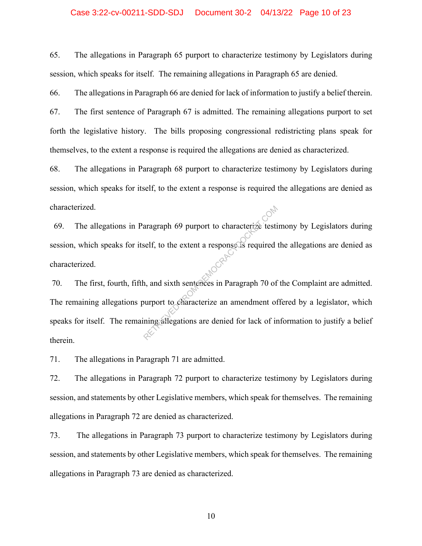#### Case 3:22-cv-00211-SDD-SDJ Document 30-2 04/13/22 Page 10 of 23

65. The allegations in Paragraph 65 purport to characterize testimony by Legislators during session, which speaks for itself. The remaining allegations in Paragraph 65 are denied.

66. The allegations in Paragraph 66 are denied for lack of information to justify a belief therein.

67. The first sentence of Paragraph 67 is admitted. The remaining allegations purport to set forth the legislative history. The bills proposing congressional redistricting plans speak for themselves, to the extent a response is required the allegations are denied as characterized.

68. The allegations in Paragraph 68 purport to characterize testimony by Legislators during session, which speaks for itself, to the extent a response is required the allegations are denied as characterized.

 69. The allegations in Paragraph 69 purport to characterize testimony by Legislators during session, which speaks for itself, to the extent a response is required the allegations are denied as characterized.

70. The first, fourth, fifth, and sixth sentences in Paragraph 70 of the Complaint are admitted. The remaining allegations purport to characterize an amendment offered by a legislator, which speaks for itself. The remaining allegations are denied for lack of information to justify a belief therein. aragraph 69 purport to characterize testi<br>self, to the extent a response is required<br>and sixth sentences in Paragraph 70 of<br>surport to characterize an amendment of<br>ning allegations are denied for lack of in

71. The allegations in Paragraph 71 are admitted.

72. The allegations in Paragraph 72 purport to characterize testimony by Legislators during session, and statements by other Legislative members, which speak for themselves. The remaining allegations in Paragraph 72 are denied as characterized.

73. The allegations in Paragraph 73 purport to characterize testimony by Legislators during session, and statements by other Legislative members, which speak for themselves. The remaining allegations in Paragraph 73 are denied as characterized.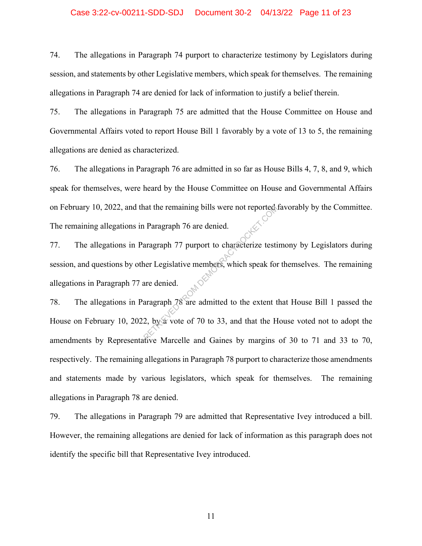#### Case 3:22-cv-00211-SDD-SDJ Document 30-2 04/13/22 Page 11 of 23

74. The allegations in Paragraph 74 purport to characterize testimony by Legislators during session, and statements by other Legislative members, which speak for themselves. The remaining allegations in Paragraph 74 are denied for lack of information to justify a belief therein.

75. The allegations in Paragraph 75 are admitted that the House Committee on House and Governmental Affairs voted to report House Bill 1 favorably by a vote of 13 to 5, the remaining allegations are denied as characterized.

76. The allegations in Paragraph 76 are admitted in so far as House Bills 4, 7, 8, and 9, which speak for themselves, were heard by the House Committee on House and Governmental Affairs on February 10, 2022, and that the remaining bills were not reported favorably by the Committee. The remaining allegations in Paragraph 76 are denied.

77. The allegations in Paragraph 77 purport to characterize testimony by Legislators during session, and questions by other Legislative members, which speak for themselves. The remaining allegations in Paragraph 77 are denied. The Paragraph 76 are denied.<br>
The aragraph 77 purport to characterize testing aragraph 77 purport to characterize testing are Legislative members, which speak for are denied.<br>
The aragraph 78 are admitted to the extent to

78. The allegations in Paragraph 78 are admitted to the extent that House Bill 1 passed the House on February 10, 2022, by a vote of 70 to 33, and that the House voted not to adopt the amendments by Representative Marcelle and Gaines by margins of 30 to 71 and 33 to 70, respectively. The remaining allegations in Paragraph 78 purport to characterize those amendments and statements made by various legislators, which speak for themselves. The remaining allegations in Paragraph 78 are denied.

79. The allegations in Paragraph 79 are admitted that Representative Ivey introduced a bill. However, the remaining allegations are denied for lack of information as this paragraph does not identify the specific bill that Representative Ivey introduced.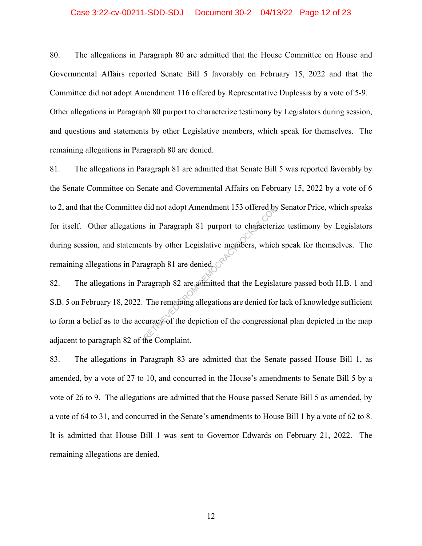#### Case 3:22-cv-00211-SDD-SDJ Document 30-2 04/13/22 Page 12 of 23

80. The allegations in Paragraph 80 are admitted that the House Committee on House and Governmental Affairs reported Senate Bill 5 favorably on February 15, 2022 and that the Committee did not adopt Amendment 116 offered by Representative Duplessis by a vote of 5-9. Other allegations in Paragraph 80 purport to characterize testimony by Legislators during session, and questions and statements by other Legislative members, which speak for themselves. The remaining allegations in Paragraph 80 are denied.

81. The allegations in Paragraph 81 are admitted that Senate Bill 5 was reported favorably by the Senate Committee on Senate and Governmental Affairs on February 15, 2022 by a vote of 6 to 2, and that the Committee did not adopt Amendment 153 offered by Senator Price, which speaks for itself. Other allegations in Paragraph 81 purport to characterize testimony by Legislators during session, and statements by other Legislative members, which speak for themselves. The remaining allegations in Paragraph 81 are denied. did not adopt Amendment 153 offered by<br>
s in Paragraph 81 purport to characteri:<br>
mts by other Legislative members, which<br>
agraph 81 are denied<br>
aragraph 82 are admitted that the Legisla<br>
The remaining allegations are deni

82. The allegations in Paragraph 82 are admitted that the Legislature passed both H.B. 1 and S.B. 5 on February 18, 2022. The remaining allegations are denied for lack of knowledge sufficient to form a belief as to the accuracy of the depiction of the congressional plan depicted in the map adjacent to paragraph 82 of the Complaint.

83. The allegations in Paragraph 83 are admitted that the Senate passed House Bill 1, as amended, by a vote of 27 to 10, and concurred in the House's amendments to Senate Bill 5 by a vote of 26 to 9. The allegations are admitted that the House passed Senate Bill 5 as amended, by a vote of 64 to 31, and concurred in the Senate's amendments to House Bill 1 by a vote of 62 to 8. It is admitted that House Bill 1 was sent to Governor Edwards on February 21, 2022. The remaining allegations are denied.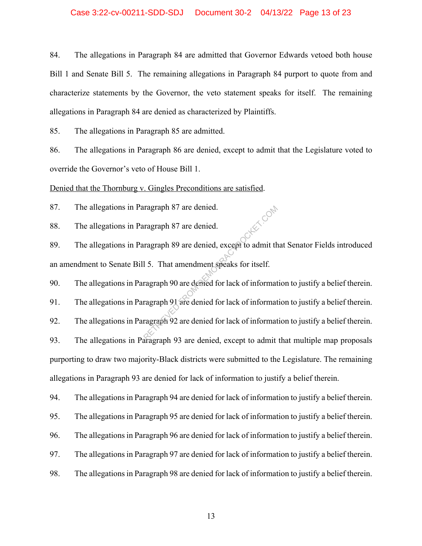#### Case 3:22-cv-00211-SDD-SDJ Document 30-2 04/13/22 Page 13 of 23

84. The allegations in Paragraph 84 are admitted that Governor Edwards vetoed both house Bill 1 and Senate Bill 5. The remaining allegations in Paragraph 84 purport to quote from and characterize statements by the Governor, the veto statement speaks for itself. The remaining allegations in Paragraph 84 are denied as characterized by Plaintiffs.

85. The allegations in Paragraph 85 are admitted.

86. The allegations in Paragraph 86 are denied, except to admit that the Legislature voted to override the Governor's veto of House Bill 1.

Denied that the Thornburg v. Gingles Preconditions are satisfied.

87. The allegations in Paragraph 87 are denied.

88. The allegations in Paragraph 87 are denied.

89. The allegations in Paragraph 89 are denied, except to admit that Senator Fields introduced an amendment to Senate Bill 5. That amendment speaks for itself. ragraph 87 are denied.<br>
ragraph 89 are denied, except to admit th<br>
15. That amendment speaks for itself.<br>
ragraph 90 are denied for lack of informat<br>
ragraph 91 are denied for lack of informat<br>
ragraph 92 are denied for la

90. The allegations in Paragraph 90 are denied for lack of information to justify a belief therein.

91. The allegations in Paragraph 91 are denied for lack of information to justify a belief therein.

92. The allegations in Paragraph 92 are denied for lack of information to justify a belief therein. 93. The allegations in Paragraph 93 are denied, except to admit that multiple map proposals purporting to draw two majority-Black districts were submitted to the Legislature. The remaining allegations in Paragraph 93 are denied for lack of information to justify a belief therein.

94. The allegations in Paragraph 94 are denied for lack of information to justify a belief therein.

95. The allegations in Paragraph 95 are denied for lack of information to justify a belief therein.

96. The allegations in Paragraph 96 are denied for lack of information to justify a belief therein.

97. The allegations in Paragraph 97 are denied for lack of information to justify a belief therein.

98. The allegations in Paragraph 98 are denied for lack of information to justify a belief therein.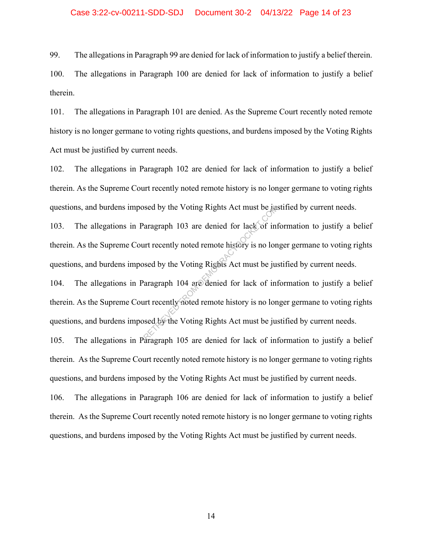#### Case 3:22-cv-00211-SDD-SDJ Document 30-2 04/13/22 Page 14 of 23

99. The allegations in Paragraph 99 are denied for lack of information to justify a belief therein.

100. The allegations in Paragraph 100 are denied for lack of information to justify a belief therein.

101. The allegations in Paragraph 101 are denied. As the Supreme Court recently noted remote history is no longer germane to voting rights questions, and burdens imposed by the Voting Rights Act must be justified by current needs.

102. The allegations in Paragraph 102 are denied for lack of information to justify a belief therein. As the Supreme Court recently noted remote history is no longer germane to voting rights questions, and burdens imposed by the Voting Rights Act must be justified by current needs.

103. The allegations in Paragraph 103 are denied for lack of information to justify a belief therein. As the Supreme Court recently noted remote history is no longer germane to voting rights questions, and burdens imposed by the Voting Rights Act must be justified by current needs.

104. The allegations in Paragraph 104 are denied for lack of information to justify a belief therein. As the Supreme Court recently noted remote history is no longer germane to voting rights questions, and burdens imposed by the Voting Rights Act must be justified by current needs. Seed by the Voting Rights Act must be a<br>
exargraph 103 are denied for lack of intervals and the Voting Rights Act must be just<br>
seed by the Voting Rights Act must be just<br>
arragraph 104 are denied for lack of intervals and

105. The allegations in Paragraph 105 are denied for lack of information to justify a belief therein. As the Supreme Court recently noted remote history is no longer germane to voting rights questions, and burdens imposed by the Voting Rights Act must be justified by current needs.

106. The allegations in Paragraph 106 are denied for lack of information to justify a belief therein. As the Supreme Court recently noted remote history is no longer germane to voting rights questions, and burdens imposed by the Voting Rights Act must be justified by current needs.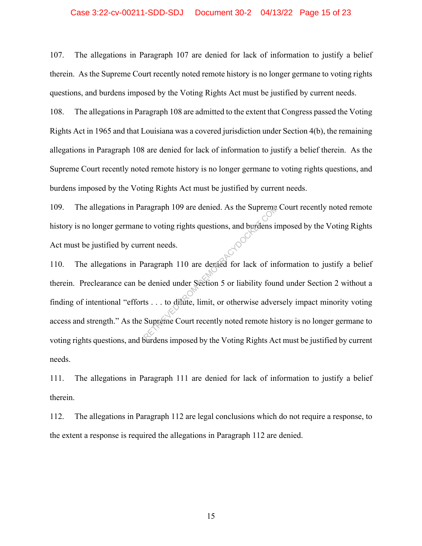#### Case 3:22-cv-00211-SDD-SDJ Document 30-2 04/13/22 Page 15 of 23

107. The allegations in Paragraph 107 are denied for lack of information to justify a belief therein. As the Supreme Court recently noted remote history is no longer germane to voting rights questions, and burdens imposed by the Voting Rights Act must be justified by current needs.

108. The allegations in Paragraph 108 are admitted to the extent that Congress passed the Voting Rights Act in 1965 and that Louisiana was a covered jurisdiction under Section 4(b), the remaining allegations in Paragraph 108 are denied for lack of information to justify a belief therein. As the Supreme Court recently noted remote history is no longer germane to voting rights questions, and burdens imposed by the Voting Rights Act must be justified by current needs.

109. The allegations in Paragraph 109 are denied. As the Supreme Court recently noted remote history is no longer germane to voting rights questions, and burdens imposed by the Voting Rights Act must be justified by current needs.

110. The allegations in Paragraph 110 are denied for lack of information to justify a belief therein. Preclearance can be denied under Section 5 or liability found under Section 2 without a finding of intentional "efforts . . . to dilute, limit, or otherwise adversely impact minority voting access and strength." As the Supreme Court recently noted remote history is no longer germane to voting rights questions, and burdens imposed by the Voting Rights Act must be justified by current needs. ragraph 109 are denied. As the Supreme<br>to voting rights questions, and burdens in<br>rent needs.<br>aragraph 110 are denied for lack of intervals are denied under Section 5 or liability four<br>ts ... to diffuse, limit, or otherwis

111. The allegations in Paragraph 111 are denied for lack of information to justify a belief therein.

112. The allegations in Paragraph 112 are legal conclusions which do not require a response, to the extent a response is required the allegations in Paragraph 112 are denied.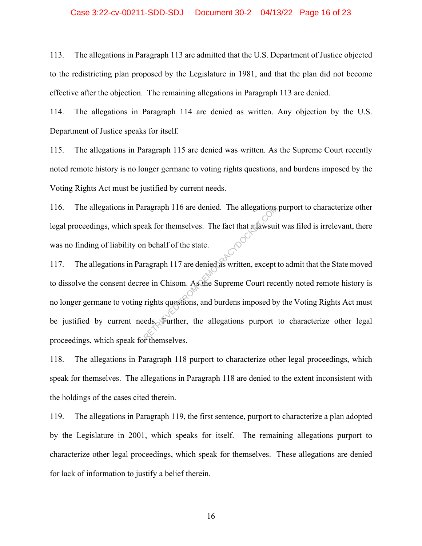#### Case 3:22-cv-00211-SDD-SDJ Document 30-2 04/13/22 Page 16 of 23

113. The allegations in Paragraph 113 are admitted that the U.S. Department of Justice objected to the redistricting plan proposed by the Legislature in 1981, and that the plan did not become effective after the objection. The remaining allegations in Paragraph 113 are denied.

114. The allegations in Paragraph 114 are denied as written. Any objection by the U.S. Department of Justice speaks for itself.

115. The allegations in Paragraph 115 are denied was written. As the Supreme Court recently noted remote history is no longer germane to voting rights questions, and burdens imposed by the Voting Rights Act must be justified by current needs.

116. The allegations in Paragraph 116 are denied. The allegations purport to characterize other legal proceedings, which speak for themselves. The fact that a lawsuit was filed is irrelevant, there was no finding of liability on behalf of the state.

117. The allegations in Paragraph 117 are denied as written, except to admit that the State moved to dissolve the consent decree in Chisom. As the Supreme Court recently noted remote history is no longer germane to voting rights questions, and burdens imposed by the Voting Rights Act must be justified by current needs. Further, the allegations purport to characterize other legal proceedings, which speak for themselves. ragraph 116 are denied. The allegations<br>ak for themselves. The fact that a lawsui<br>n behalf of the state.<br>ragraph 117 are denied as written, except<br>ee in Chisom. As the Supreme Court rece<br>rights questions, and burdens impos

118. The allegations in Paragraph 118 purport to characterize other legal proceedings, which speak for themselves. The allegations in Paragraph 118 are denied to the extent inconsistent with the holdings of the cases cited therein.

119. The allegations in Paragraph 119, the first sentence, purport to characterize a plan adopted by the Legislature in 2001, which speaks for itself. The remaining allegations purport to characterize other legal proceedings, which speak for themselves. These allegations are denied for lack of information to justify a belief therein.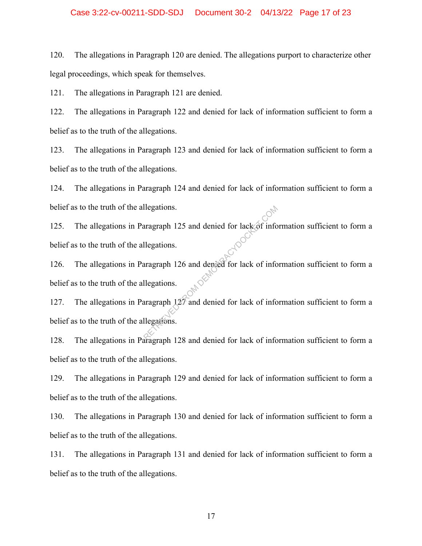#### Case 3:22-cv-00211-SDD-SDJ Document 30-2 04/13/22 Page 17 of 23

120. The allegations in Paragraph 120 are denied. The allegations purport to characterize other legal proceedings, which speak for themselves.

121. The allegations in Paragraph 121 are denied.

122. The allegations in Paragraph 122 and denied for lack of information sufficient to form a belief as to the truth of the allegations.

123. The allegations in Paragraph 123 and denied for lack of information sufficient to form a belief as to the truth of the allegations.

124. The allegations in Paragraph 124 and denied for lack of information sufficient to form a belief as to the truth of the allegations.

125. The allegations in Paragraph 125 and denied for lack of information sufficient to form a belief as to the truth of the allegations.

126. The allegations in Paragraph 126 and denied for lack of information sufficient to form a belief as to the truth of the allegations. Represents 125 and denied for lack of info<br>
Ilegations.<br>
Retrieved for lack of info<br>
Ilegations.<br>
Retrieved for lack of info<br>
Ilegations.<br>
Recreament 128 and denied for lack of info<br>
Ilegations.

127. The allegations in Paragraph 127 and denied for lack of information sufficient to form a belief as to the truth of the allegations.

128. The allegations in Paragraph 128 and denied for lack of information sufficient to form a belief as to the truth of the allegations.

129. The allegations in Paragraph 129 and denied for lack of information sufficient to form a belief as to the truth of the allegations.

130. The allegations in Paragraph 130 and denied for lack of information sufficient to form a belief as to the truth of the allegations.

131. The allegations in Paragraph 131 and denied for lack of information sufficient to form a belief as to the truth of the allegations.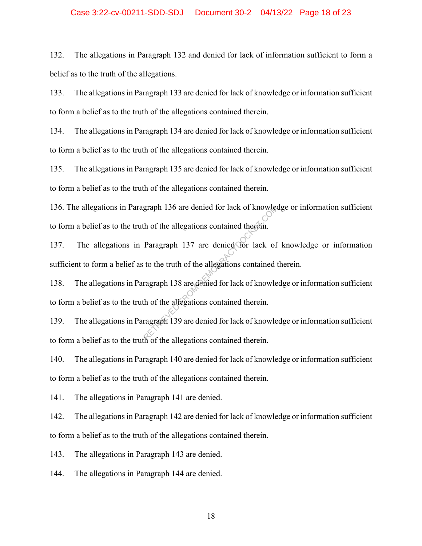#### Case 3:22-cv-00211-SDD-SDJ Document 30-2 04/13/22 Page 18 of 23

132. The allegations in Paragraph 132 and denied for lack of information sufficient to form a belief as to the truth of the allegations.

133. The allegations in Paragraph 133 are denied for lack of knowledge or information sufficient to form a belief as to the truth of the allegations contained therein.

134. The allegations in Paragraph 134 are denied for lack of knowledge or information sufficient to form a belief as to the truth of the allegations contained therein.

135. The allegations in Paragraph 135 are denied for lack of knowledge or information sufficient to form a belief as to the truth of the allegations contained therein.

136. The allegations in Paragraph 136 are denied for lack of knowledge or information sufficient to form a belief as to the truth of the allegations contained therein.

137. The allegations in Paragraph 137 are denied for lack of knowledge or information sufficient to form a belief as to the truth of the allegations contained therein. graph 136 are denied for lack of knowled<br>th of the allegations contained therein.<br>Paragraph 137 are denied for lack of<br>to the truth of the allegations contained to<br>ragraph 138 are denied for lack of knowled<br>the of the alle

138. The allegations in Paragraph 138 are denied for lack of knowledge or information sufficient to form a belief as to the truth of the allegations contained therein.

139. The allegations in Paragraph 139 are denied for lack of knowledge or information sufficient to form a belief as to the truth of the allegations contained therein.

140. The allegations in Paragraph 140 are denied for lack of knowledge or information sufficient to form a belief as to the truth of the allegations contained therein.

141. The allegations in Paragraph 141 are denied.

142. The allegations in Paragraph 142 are denied for lack of knowledge or information sufficient to form a belief as to the truth of the allegations contained therein.

143. The allegations in Paragraph 143 are denied.

144. The allegations in Paragraph 144 are denied.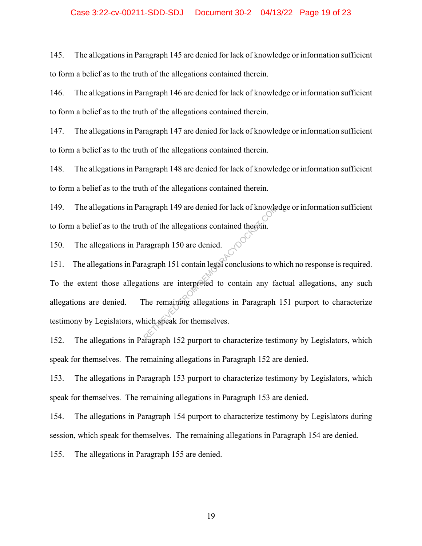### Case 3:22-cv-00211-SDD-SDJ Document 30-2 04/13/22 Page 19 of 23

145. The allegations in Paragraph 145 are denied for lack of knowledge or information sufficient to form a belief as to the truth of the allegations contained therein.

146. The allegations in Paragraph 146 are denied for lack of knowledge or information sufficient to form a belief as to the truth of the allegations contained therein.

147. The allegations in Paragraph 147 are denied for lack of knowledge or information sufficient to form a belief as to the truth of the allegations contained therein.

148. The allegations in Paragraph 148 are denied for lack of knowledge or information sufficient to form a belief as to the truth of the allegations contained therein.

149. The allegations in Paragraph 149 are denied for lack of knowledge or information sufficient to form a belief as to the truth of the allegations contained therein.

150. The allegations in Paragraph 150 are denied.

151. The allegations in Paragraph 151 contain legal conclusions to which no response is required. To the extent those allegations are interpreted to contain any factual allegations, any such allegations are denied. The remaining allegations in Paragraph 151 purport to characterize testimony by Legislators, which speak for themselves. ragraph 149 are denied for lack of knowler<br>th of the allegations contained therein.<br>agraph 150 are denied.<br>agraph 151 contain legal conclusions to w<br>tions are interpreted to contain any factor<br>The remaining allegations in

152. The allegations in Paragraph 152 purport to characterize testimony by Legislators, which speak for themselves. The remaining allegations in Paragraph 152 are denied.

153. The allegations in Paragraph 153 purport to characterize testimony by Legislators, which speak for themselves. The remaining allegations in Paragraph 153 are denied.

154. The allegations in Paragraph 154 purport to characterize testimony by Legislators during session, which speak for themselves. The remaining allegations in Paragraph 154 are denied.

155. The allegations in Paragraph 155 are denied.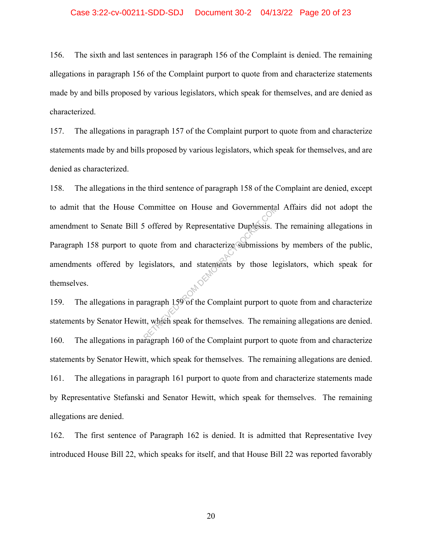#### Case 3:22-cv-00211-SDD-SDJ Document 30-2 04/13/22 Page 20 of 23

156. The sixth and last sentences in paragraph 156 of the Complaint is denied. The remaining allegations in paragraph 156 of the Complaint purport to quote from and characterize statements made by and bills proposed by various legislators, which speak for themselves, and are denied as characterized.

157. The allegations in paragraph 157 of the Complaint purport to quote from and characterize statements made by and bills proposed by various legislators, which speak for themselves, and are denied as characterized.

158. The allegations in the third sentence of paragraph 158 of the Complaint are denied, except to admit that the House Committee on House and Governmental Affairs did not adopt the amendment to Senate Bill 5 offered by Representative Duplessis. The remaining allegations in Paragraph 158 purport to quote from and characterize submissions by members of the public, amendments offered by legislators, and statements by those legislators, which speak for themselves. From House and Governmental<br>
i offered by Representative Duplessis. To<br>
uote from and characterize submissions<br>
egislators, and statements by those le<br>
ragraph 159 of the Complaint purport to<br>
tt, which speak for themselve

159. The allegations in paragraph 159 of the Complaint purport to quote from and characterize statements by Senator Hewitt, which speak for themselves. The remaining allegations are denied. 160. The allegations in paragraph 160 of the Complaint purport to quote from and characterize statements by Senator Hewitt, which speak for themselves. The remaining allegations are denied. 161. The allegations in paragraph 161 purport to quote from and characterize statements made by Representative Stefanski and Senator Hewitt, which speak for themselves. The remaining allegations are denied.

162. The first sentence of Paragraph 162 is denied. It is admitted that Representative Ivey introduced House Bill 22, which speaks for itself, and that House Bill 22 was reported favorably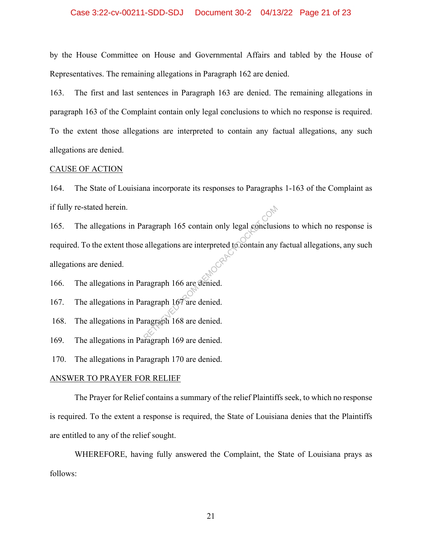#### Case 3:22-cv-00211-SDD-SDJ Document 30-2 04/13/22 Page 21 of 23

by the House Committee on House and Governmental Affairs and tabled by the House of Representatives. The remaining allegations in Paragraph 162 are denied.

163. The first and last sentences in Paragraph 163 are denied. The remaining allegations in paragraph 163 of the Complaint contain only legal conclusions to which no response is required. To the extent those allegations are interpreted to contain any factual allegations, any such allegations are denied.

#### CAUSE OF ACTION

164. The State of Louisiana incorporate its responses to Paragraphs 1-163 of the Complaint as if fully re-stated herein.

165. The allegations in Paragraph 165 contain only legal conclusions to which no response is required. To the extent those allegations are interpreted to contain any factual allegations, any such allegations are denied. Paragraph 165 contain only legal conclusion<br>allegations are interpreted to contain any<br>ragraph 166 are denied.<br>ragraph 168 are denied.

166. The allegations in Paragraph 166 are denied.

167. The allegations in Paragraph 167 are denied.

168. The allegations in Paragraph 168 are denied.

169. The allegations in Paragraph 169 are denied.

170. The allegations in Paragraph 170 are denied.

#### ANSWER TO PRAYER FOR RELIEF

The Prayer for Relief contains a summary of the relief Plaintiffs seek, to which no response is required. To the extent a response is required, the State of Louisiana denies that the Plaintiffs are entitled to any of the relief sought.

WHEREFORE, having fully answered the Complaint, the State of Louisiana prays as follows: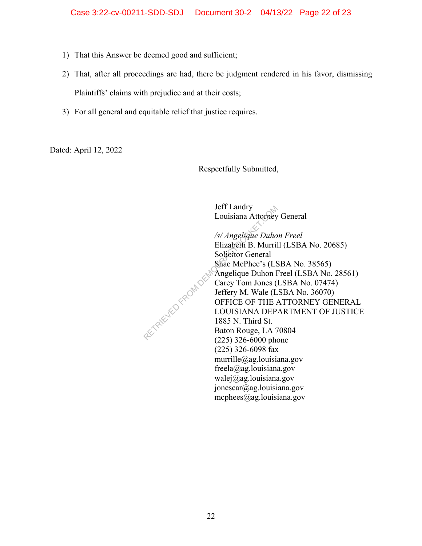- 1) That this Answer be deemed good and sufficient;
- 2) That, after all proceedings are had, there be judgment rendered in his favor, dismissing Plaintiffs' claims with prejudice and at their costs;
- 3) For all general and equitable relief that justice requires.

RETRIEVED FROM DES

Dated: April 12, 2022

Respectfully Submitted,

Jeff Landry Louisiana Attorney General

*/s/ Angelique Duhon Freel*  Elizabeth B. Murrill (LSBA No. 20685) Solicitor General Shae McPhee's (LSBA No. 38565) Angelique Duhon Freel (LSBA No. 28561) Carey Tom Jones (LSBA No. 07474) Jeffery M. Wale (LSBA No. 36070) OFFICE OF THE ATTORNEY GENERAL LOUISIANA DEPARTMENT OF JUSTICE 1885 N. Third St. Baton Rouge, LA 70804 (225) 326-6000 phone (225) 326-6098 fax murrille@ag.louisiana.gov freela@ag.louisiana.gov walej@ag.louisiana.gov jonescar@ag.louisiana.gov mcphees@ag.louisiana.gov